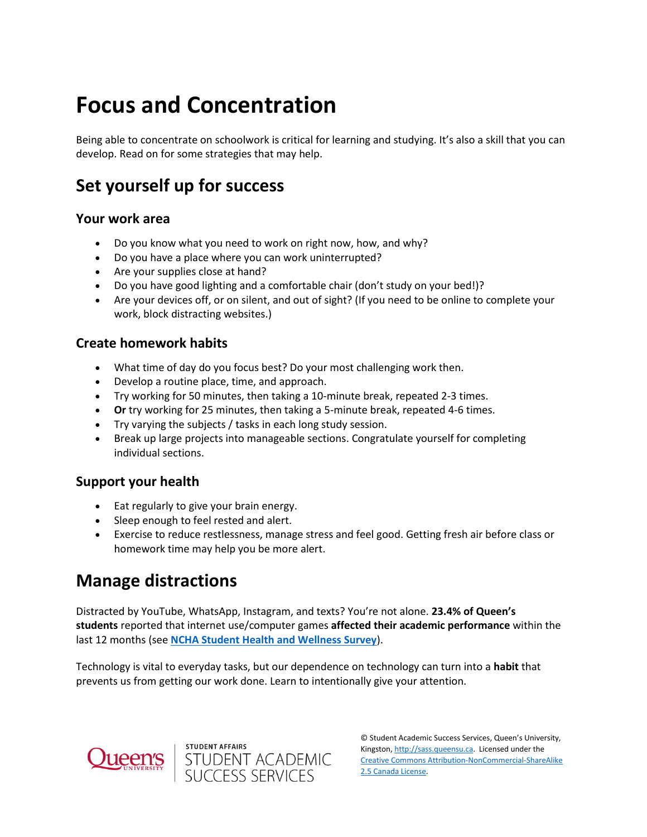# **Focus and Concentration**

Being able to concentrate on schoolwork is critical for learning and studying. It's also a skill that you can develop. Read on for some strategies that may help.

# **Set yourself up for success**

#### **Your work area**

- Do you know what you need to work on right now, how, and why?
- Do you have a place where you can work uninterrupted?
- Are your supplies close at hand?
- Do you have good lighting and a comfortable chair (don't study on your bed!)?
- Are your devices off, or on silent, and out of sight? (If you need to be online to complete your work, block distracting websites.)

#### **Create homework habits**

- What time of day do you focus best? Do your most challenging work then.
- Develop a routine place, time, and approach.
- Try working for 50 minutes, then taking a 10-minute break, repeated 2-3 times.
- **Or** try working for 25 minutes, then taking a 5-minute break, repeated 4-6 times.
- Try varying the subjects / tasks in each long study session.
- Break up large projects into manageable sections. Congratulate yourself for completing individual sections.

#### **Support your health**

- Eat regularly to give your brain energy.
- Sleep enough to feel rested and alert.
- Exercise to reduce restlessness, manage stress and feel good. Getting fresh air before class or homework time may help you be more alert.

## **Manage distractions**

Distracted by YouTube, WhatsApp, Instagram, and texts? You're not alone. **23.4% of Queen's students** reported that internet use/computer games **affected their academic performance** within the last 12 months (see **[NCHA Student Health and Wellness Survey](https://www.queensu.ca/studentaffairs/health-wellness/ncha-student-health-and-wellness-survey)**).

Technology is vital to everyday tasks, but our dependence on technology can turn into a **habit** that prevents us from getting our work done. Learn to intentionally give your attention.



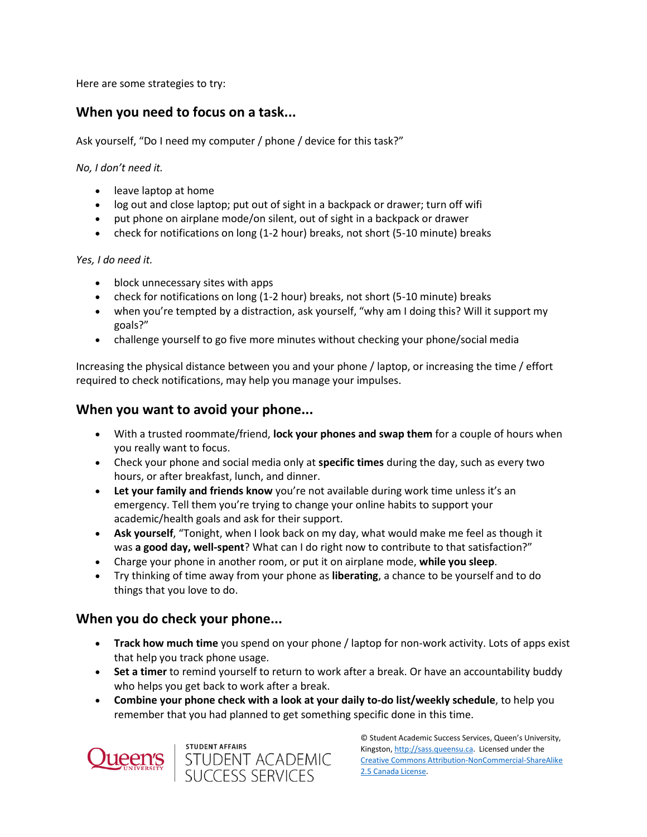Here are some strategies to try:

#### **When you need to focus on a task...**

Ask yourself, "Do I need my computer / phone / device for this task?"

*No, I don't need it.*

- leave laptop at home
- log out and close laptop; put out of sight in a backpack or drawer; turn off wifi
- put phone on airplane mode/on silent, out of sight in a backpack or drawer
- check for notifications on long (1-2 hour) breaks, not short (5-10 minute) breaks

#### *Yes, I do need it.*

- block unnecessary sites with apps
- check for notifications on long (1-2 hour) breaks, not short (5-10 minute) breaks
- when you're tempted by a distraction, ask yourself, "why am I doing this? Will it support my goals?"
- challenge yourself to go five more minutes without checking your phone/social media

Increasing the physical distance between you and your phone / laptop, or increasing the time / effort required to check notifications, may help you manage your impulses.

#### **When you want to avoid your phone...**

- With a trusted roommate/friend, **lock your phones and swap them** for a couple of hours when you really want to focus.
- Check your phone and social media only at **specific times** during the day, such as every two hours, or after breakfast, lunch, and dinner.
- **Example 1** Let your family and friends know you're not available during work time unless it's an emergency. Tell them you're trying to change your online habits to support your academic/health goals and ask for their support.
- **Ask yourself**, "Tonight, when I look back on my day, what would make me feel as though it was **a good day, well-spent**? What can I do right now to contribute to that satisfaction?"
- Charge your phone in another room, or put it on airplane mode, **while you sleep**.
- Try thinking of time away from your phone as **liberating**, a chance to be yourself and to do things that you love to do.

#### **When you do check your phone...**

- **Track how much time** you spend on your phone / laptop for non-work activity. Lots of apps exist that help you track phone usage.
- **Set a timer** to remind yourself to return to work after a break. Or have an accountability buddy who helps you get back to work after a break.
- **Combine your phone check with a look at your daily to-do list/weekly schedule**, to help you remember that you had planned to get something specific done in this time.



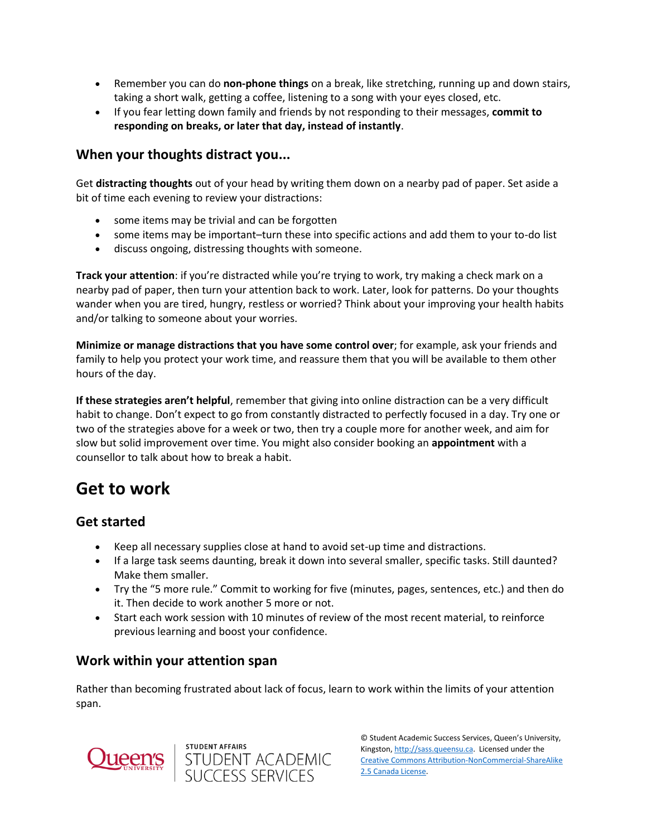- Remember you can do **non-phone things** on a break, like stretching, running up and down stairs, taking a short walk, getting a coffee, listening to a song with your eyes closed, etc.
- If you fear letting down family and friends by not responding to their messages, **commit to responding on breaks, or later that day, instead of instantly**.

#### **When your thoughts distract you...**

Get **distracting thoughts** out of your head by writing them down on a nearby pad of paper. Set aside a bit of time each evening to review your distractions:

- some items may be trivial and can be forgotten
- some items may be important–turn these into specific actions and add them to your to-do list
- discuss ongoing, distressing thoughts with someone.

**Track your attention**: if you're distracted while you're trying to work, try making a check mark on a nearby pad of paper, then turn your attention back to work. Later, look for patterns. Do your thoughts wander when you are tired, hungry, restless or worried? Think about your improving your health habits and/or talking to someone about your worries.

**Minimize or manage distractions that you have some control over**; for example, ask your friends and family to help you protect your work time, and reassure them that you will be available to them other hours of the day.

**If these strategies aren't helpful**, remember that giving into online distraction can be a very difficult habit to change. Don't expect to go from constantly distracted to perfectly focused in a day. Try one or two of the strategies above for a week or two, then try a couple more for another week, and aim for slow but solid improvement over time. You might also consider booking an **appointment** with a counsellor to talk about how to break a habit.

## **Get to work**

#### **Get started**

- Keep all necessary supplies close at hand to avoid set-up time and distractions.
- If a large task seems daunting, break it down into several smaller, specific tasks. Still daunted? Make them smaller.
- Try the "5 more rule." Commit to working for five (minutes, pages, sentences, etc.) and then do it. Then decide to work another 5 more or not.
- Start each work session with 10 minutes of review of the most recent material, to reinforce previous learning and boost your confidence.

#### **Work within your attention span**

Rather than becoming frustrated about lack of focus, learn to work within the limits of your attention span.



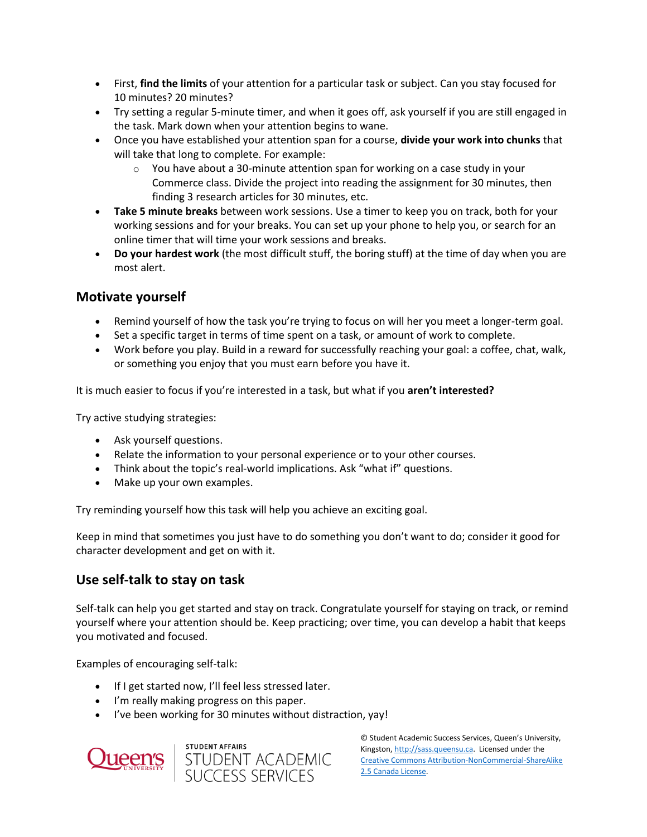- First, **find the limits** of your attention for a particular task or subject. Can you stay focused for 10 minutes? 20 minutes?
- Try setting a regular 5-minute timer, and when it goes off, ask yourself if you are still engaged in the task. Mark down when your attention begins to wane.
- Once you have established your attention span for a course, **divide your work into chunks** that will take that long to complete. For example:
	- o You have about a 30-minute attention span for working on a case study in your Commerce class. Divide the project into reading the assignment for 30 minutes, then finding 3 research articles for 30 minutes, etc.
- **Take 5 minute breaks** between work sessions. Use a timer to keep you on track, both for your working sessions and for your breaks. You can set up your phone to help you, or search for an online timer that will time your work sessions and breaks.
- **Do your hardest work** (the most difficult stuff, the boring stuff) at the time of day when you are most alert.

#### **Motivate yourself**

- Remind yourself of how the task you're trying to focus on will her you meet a longer-term goal.
- Set a specific target in terms of time spent on a task, or amount of work to complete.
- Work before you play. Build in a reward for successfully reaching your goal: a coffee, chat, walk, or something you enjoy that you must earn before you have it.

It is much easier to focus if you're interested in a task, but what if you **aren't interested?**

Try active studying strategies:

- Ask yourself questions.
- Relate the information to your personal experience or to your other courses.
- Think about the topic's real-world implications. Ask "what if" questions.
- Make up your own examples.

Try reminding yourself how this task will help you achieve an exciting goal.

Keep in mind that sometimes you just have to do something you don't want to do; consider it good for character development and get on with it.

#### **Use self-talk to stay on task**

Self-talk can help you get started and stay on track. Congratulate yourself for staying on track, or remind yourself where your attention should be. Keep practicing; over time, you can develop a habit that keeps you motivated and focused.

Examples of encouraging self-talk:

- If I get started now, I'll feel less stressed later.
- I'm really making progress on this paper.
- I've been working for 30 minutes without distraction, yay!